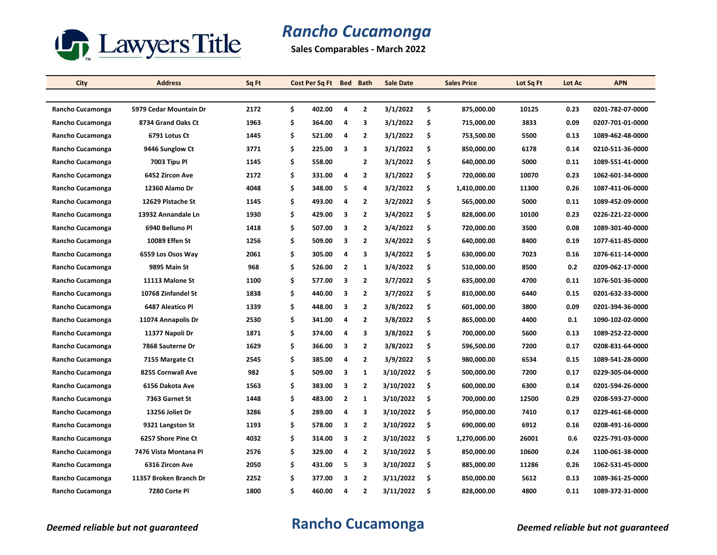

**Sales Comparables - March 2022**

| City             | <b>Address</b>         | Sq Ft | Cost Per Sq Ft Bed Bath |                         |                | <b>Sale Date</b> | <b>Sales Price</b> | Lot Sq Ft | Lot Ac | <b>APN</b>       |
|------------------|------------------------|-------|-------------------------|-------------------------|----------------|------------------|--------------------|-----------|--------|------------------|
|                  |                        |       |                         |                         |                |                  |                    |           |        |                  |
| Rancho Cucamonga | 5979 Cedar Mountain Dr | 2172  | \$<br>402.00            | $\overline{\mathbf{4}}$ | $\mathbf{2}$   | 3/1/2022         | \$<br>875,000.00   | 10125     | 0.23   | 0201-782-07-0000 |
| Rancho Cucamonga | 8734 Grand Oaks Ct     | 1963  | \$<br>364.00            | 4                       | 3              | 3/1/2022         | \$<br>715,000.00   | 3833      | 0.09   | 0207-701-01-0000 |
| Rancho Cucamonga | 6791 Lotus Ct          | 1445  | \$<br>521.00            | $\overline{4}$          | $\overline{2}$ | 3/1/2022         | \$<br>753,500.00   | 5500      | 0.13   | 1089-462-48-0000 |
| Rancho Cucamonga | 9446 Sunglow Ct        | 3771  | \$<br>225.00            | $\overline{\mathbf{3}}$ | 3              | 3/1/2022         | \$<br>850,000.00   | 6178      | 0.14   | 0210-511-36-0000 |
| Rancho Cucamonga | <b>7003 Tipu Pl</b>    | 1145  | \$<br>558.00            |                         | $\overline{2}$ | 3/1/2022         | \$<br>640,000.00   | 5000      | 0.11   | 1089-551-41-0000 |
| Rancho Cucamonga | 6452 Zircon Ave        | 2172  | \$<br>331.00            | 4                       | $\mathbf{2}$   | 3/1/2022         | \$<br>720,000.00   | 10070     | 0.23   | 1062-601-34-0000 |
| Rancho Cucamonga | 12360 Alamo Dr         | 4048  | \$<br>348.00            | 5                       | 4              | 3/2/2022         | \$<br>1,410,000.00 | 11300     | 0.26   | 1087-411-06-0000 |
| Rancho Cucamonga | 12629 Pistache St      | 1145  | \$<br>493.00            | 4                       | $\mathbf{2}$   | 3/2/2022         | \$<br>565,000.00   | 5000      | 0.11   | 1089-452-09-0000 |
| Rancho Cucamonga | 13932 Annandale Ln     | 1930  | \$<br>429.00            | 3                       | $\overline{2}$ | 3/4/2022         | \$<br>828,000.00   | 10100     | 0.23   | 0226-221-22-0000 |
| Rancho Cucamonga | 6940 Belluno Pl        | 1418  | \$<br>507.00            | $\overline{\mathbf{3}}$ | $\overline{2}$ | 3/4/2022         | \$<br>720,000.00   | 3500      | 0.08   | 1089-301-40-0000 |
| Rancho Cucamonga | 10089 Effen St         | 1256  | \$<br>509.00            | 3                       | $\overline{2}$ | 3/4/2022         | \$<br>640,000.00   | 8400      | 0.19   | 1077-611-85-0000 |
| Rancho Cucamonga | 6559 Los Osos Way      | 2061  | \$<br>305.00            | $\overline{4}$          | 3              | 3/4/2022         | \$<br>630,000.00   | 7023      | 0.16   | 1076-611-14-0000 |
| Rancho Cucamonga | <b>9895 Main St</b>    | 968   | \$<br>526.00            | $\overline{2}$          | $\mathbf{1}$   | 3/4/2022         | \$<br>510,000.00   | 8500      | 0.2    | 0209-062-17-0000 |
| Rancho Cucamonga | 11113 Malone St        | 1100  | \$<br>577.00            | 3                       | $\overline{2}$ | 3/7/2022         | \$<br>635,000.00   | 4700      | 0.11   | 1076-501-36-0000 |
| Rancho Cucamonga | 10768 Zinfandel St     | 1838  | \$<br>440.00            | 3                       | $\overline{2}$ | 3/7/2022         | \$<br>810,000.00   | 6440      | 0.15   | 0201-632-33-0000 |
| Rancho Cucamonga | 6487 Aleatico Pl       | 1339  | \$<br>448.00            | $\overline{\mathbf{3}}$ | $\overline{2}$ | 3/8/2022         | \$<br>601,000.00   | 3800      | 0.09   | 0201-394-36-0000 |
| Rancho Cucamonga | 11074 Annapolis Dr     | 2530  | \$<br>341.00            | 4                       | $\overline{2}$ | 3/8/2022         | \$<br>865,000.00   | 4400      | 0.1    | 1090-102-02-0000 |
| Rancho Cucamonga | 11377 Napoli Dr        | 1871  | \$<br>374.00            | $\overline{4}$          | 3              | 3/8/2022         | \$<br>700,000.00   | 5600      | 0.13   | 1089-252-22-0000 |
| Rancho Cucamonga | 7868 Sauterne Dr       | 1629  | \$<br>366.00            | 3                       | $\overline{2}$ | 3/8/2022         | \$<br>596,500.00   | 7200      | 0.17   | 0208-831-64-0000 |
| Rancho Cucamonga | 7155 Margate Ct        | 2545  | \$<br>385.00            | 4                       | $\mathbf{2}$   | 3/9/2022         | \$<br>980,000.00   | 6534      | 0.15   | 1089-541-28-0000 |
| Rancho Cucamonga | 8255 Cornwall Ave      | 982   | \$<br>509.00            | 3                       | $\mathbf{1}$   | 3/10/2022        | \$<br>500,000.00   | 7200      | 0.17   | 0229-305-04-0000 |
| Rancho Cucamonga | 6156 Dakota Ave        | 1563  | \$<br>383.00            | 3                       | $\mathbf{2}$   | 3/10/2022        | \$<br>600,000.00   | 6300      | 0.14   | 0201-594-26-0000 |
| Rancho Cucamonga | 7363 Garnet St         | 1448  | \$<br>483.00            | $\overline{2}$          | $\mathbf{1}$   | 3/10/2022        | \$<br>700,000.00   | 12500     | 0.29   | 0208-593-27-0000 |
| Rancho Cucamonga | 13256 Joliet Dr        | 3286  | \$<br>289.00            | $\overline{4}$          | 3              | 3/10/2022        | \$<br>950,000.00   | 7410      | 0.17   | 0229-461-68-0000 |
| Rancho Cucamonga | 9321 Langston St       | 1193  | \$<br>578.00            | 3                       | $\overline{2}$ | 3/10/2022        | \$<br>690,000.00   | 6912      | 0.16   | 0208-491-16-0000 |
| Rancho Cucamonga | 6257 Shore Pine Ct     | 4032  | \$<br>314.00            | 3                       | $\overline{2}$ | 3/10/2022        | \$<br>1,270,000.00 | 26001     | 0.6    | 0225-791-03-0000 |
| Rancho Cucamonga | 7476 Vista Montana Pl  | 2576  | \$<br>329.00            | $\overline{4}$          | $\overline{2}$ | 3/10/2022        | \$<br>850,000.00   | 10600     | 0.24   | 1100-061-38-0000 |
| Rancho Cucamonga | 6316 Zircon Ave        | 2050  | \$<br>431.00            | 5                       | 3              | 3/10/2022        | \$<br>885,000.00   | 11286     | 0.26   | 1062-531-45-0000 |
| Rancho Cucamonga | 11357 Broken Branch Dr | 2252  | \$<br>377.00            | 3                       | $\overline{2}$ | 3/11/2022        | \$<br>850,000.00   | 5612      | 0.13   | 1089-361-25-0000 |
| Rancho Cucamonga | 7280 Corte Pl          | 1800  | \$<br>460.00            | 4                       | 2              | 3/11/2022        | \$<br>828,000.00   | 4800      | 0.11   | 1089-372-31-0000 |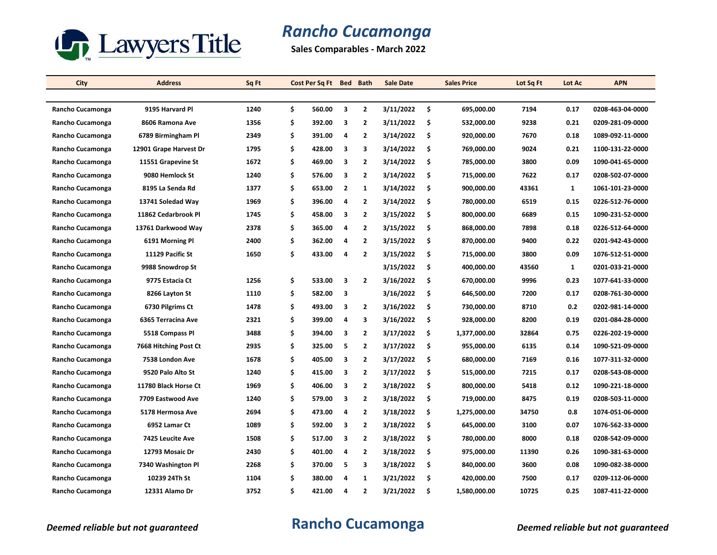

**Sales Comparables - March 2022**

| City             | <b>Address</b>         | Sq Ft |    | Cost Per Sq Ft Bed Bath |                         |                | <b>Sale Date</b> |     | <b>Sales Price</b> | Lot Sq Ft | Lot Ac | <b>APN</b>       |
|------------------|------------------------|-------|----|-------------------------|-------------------------|----------------|------------------|-----|--------------------|-----------|--------|------------------|
|                  |                        |       |    |                         |                         |                |                  |     |                    |           |        |                  |
| Rancho Cucamonga | 9195 Harvard Pl        | 1240  | \$ | 560.00                  | $\overline{\mathbf{3}}$ | $\mathbf{2}$   | 3/11/2022        | \$  | 695,000.00         | 7194      | 0.17   | 0208-463-04-0000 |
| Rancho Cucamonga | 8606 Ramona Ave        | 1356  | \$ | 392.00                  | 3                       | $\mathbf{2}$   | 3/11/2022        | \$  | 532,000.00         | 9238      | 0.21   | 0209-281-09-0000 |
| Rancho Cucamonga | 6789 Birmingham Pl     | 2349  | \$ | 391.00                  | $\overline{4}$          | $\overline{2}$ | 3/14/2022        | \$  | 920,000.00         | 7670      | 0.18   | 1089-092-11-0000 |
| Rancho Cucamonga | 12901 Grape Harvest Dr | 1795  | \$ | 428.00                  | 3                       | 3              | 3/14/2022        | \$  | 769,000.00         | 9024      | 0.21   | 1100-131-22-0000 |
| Rancho Cucamonga | 11551 Grapevine St     | 1672  | \$ | 469.00                  | $\overline{\mathbf{3}}$ | $\mathbf{2}$   | 3/14/2022        | \$  | 785,000.00         | 3800      | 0.09   | 1090-041-65-0000 |
| Rancho Cucamonga | 9080 Hemlock St        | 1240  | \$ | 576.00                  | $\overline{\mathbf{3}}$ | $\overline{2}$ | 3/14/2022        | \$  | 715,000.00         | 7622      | 0.17   | 0208-502-07-0000 |
| Rancho Cucamonga | 8195 La Senda Rd       | 1377  | \$ | 653.00                  | $\overline{2}$          | 1              | 3/14/2022        | \$  | 900,000.00         | 43361     | 1      | 1061-101-23-0000 |
| Rancho Cucamonga | 13741 Soledad Way      | 1969  | \$ | 396.00                  | 4                       | $\mathbf{2}$   | 3/14/2022        | \$  | 780,000.00         | 6519      | 0.15   | 0226-512-76-0000 |
| Rancho Cucamonga | 11862 Cedarbrook Pl    | 1745  | \$ | 458.00                  | 3                       | $\mathbf{2}$   | 3/15/2022        | \$  | 800,000.00         | 6689      | 0.15   | 1090-231-52-0000 |
| Rancho Cucamonga | 13761 Darkwood Way     | 2378  | \$ | 365.00                  | $\overline{4}$          | $\overline{2}$ | 3/15/2022        | \$  | 868,000.00         | 7898      | 0.18   | 0226-512-64-0000 |
| Rancho Cucamonga | 6191 Morning Pl        | 2400  | \$ | 362.00                  | $\overline{4}$          | $\overline{2}$ | 3/15/2022        | \$  | 870,000.00         | 9400      | 0.22   | 0201-942-43-0000 |
| Rancho Cucamonga | 11129 Pacific St       | 1650  | \$ | 433.00                  | 4                       | 2              | 3/15/2022        | \$  | 715,000.00         | 3800      | 0.09   | 1076-512-51-0000 |
| Rancho Cucamonga | 9988 Snowdrop St       |       |    |                         |                         |                | 3/15/2022        | \$  | 400,000.00         | 43560     | 1      | 0201-033-21-0000 |
| Rancho Cucamonga | 9775 Estacia Ct        | 1256  | \$ | 533.00                  | 3                       | $\mathbf{2}$   | 3/16/2022        | \$  | 670,000.00         | 9996      | 0.23   | 1077-641-33-0000 |
| Rancho Cucamonga | 8266 Layton St         | 1110  | \$ | 582.00                  | -3                      |                | 3/16/2022        | \$  | 646,500.00         | 7200      | 0.17   | 0208-761-30-0000 |
| Rancho Cucamonga | 6730 Pilgrims Ct       | 1478  | \$ | 493.00                  | 3                       | $\overline{2}$ | 3/16/2022        | \$  | 730,000.00         | 8710      | 0.2    | 0202-981-14-0000 |
| Rancho Cucamonga | 6365 Terracina Ave     | 2321  | \$ | 399.00                  | $\overline{4}$          | 3              | 3/16/2022        | \$  | 928,000.00         | 8200      | 0.19   | 0201-084-28-0000 |
| Rancho Cucamonga | 5518 Compass Pl        | 3488  | \$ | 394.00                  | 3                       | $\mathbf{2}$   | 3/17/2022        | \$  | 1,377,000.00       | 32864     | 0.75   | 0226-202-19-0000 |
| Rancho Cucamonga | 7668 Hitching Post Ct  | 2935  | \$ | 325.00                  | 5                       | $\overline{2}$ | 3/17/2022        | \$  | 955,000.00         | 6135      | 0.14   | 1090-521-09-0000 |
| Rancho Cucamonga | 7538 London Ave        | 1678  | \$ | 405.00                  | 3                       | $\mathbf{2}$   | 3/17/2022        | \$  | 680,000.00         | 7169      | 0.16   | 1077-311-32-0000 |
| Rancho Cucamonga | 9520 Palo Alto St      | 1240  | \$ | 415.00                  | 3                       | $\overline{2}$ | 3/17/2022        | \$  | 515,000.00         | 7215      | 0.17   | 0208-543-08-0000 |
| Rancho Cucamonga | 11780 Black Horse Ct   | 1969  | \$ | 406.00                  | 3                       | $\overline{2}$ | 3/18/2022        | \$  | 800,000.00         | 5418      | 0.12   | 1090-221-18-0000 |
| Rancho Cucamonga | 7709 Eastwood Ave      | 1240  | \$ | 579.00                  | 3                       | $\mathbf{2}$   | 3/18/2022        | \$  | 719,000.00         | 8475      | 0.19   | 0208-503-11-0000 |
| Rancho Cucamonga | 5178 Hermosa Ave       | 2694  | \$ | 473.00                  | 4                       | $\mathbf{2}$   | 3/18/2022        | \$  | 1,275,000.00       | 34750     | 0.8    | 1074-051-06-0000 |
| Rancho Cucamonga | 6952 Lamar Ct          | 1089  | \$ | 592.00                  | 3                       | $\overline{2}$ | 3/18/2022        | \$  | 645,000.00         | 3100      | 0.07   | 1076-562-33-0000 |
| Rancho Cucamonga | 7425 Leucite Ave       | 1508  | \$ | 517.00                  | 3                       | $\overline{2}$ | 3/18/2022        | \$  | 780,000.00         | 8000      | 0.18   | 0208-542-09-0000 |
| Rancho Cucamonga | 12793 Mosaic Dr        | 2430  | \$ | 401.00                  | -4                      | $\overline{2}$ | 3/18/2022        | \$  | 975,000.00         | 11390     | 0.26   | 1090-381-63-0000 |
| Rancho Cucamonga | 7340 Washington Pl     | 2268  | \$ | 370.00                  | 5                       | 3              | 3/18/2022        | \$  | 840,000.00         | 3600      | 0.08   | 1090-082-38-0000 |
| Rancho Cucamonga | 10239 24Th St          | 1104  | \$ | 380.00                  | 4                       | $\mathbf{1}$   | 3/21/2022        | \$  | 420,000.00         | 7500      | 0.17   | 0209-112-06-0000 |
| Rancho Cucamonga | 12331 Alamo Dr         | 3752  | Ś  | 421.00                  | 4                       | $\overline{2}$ | 3/21/2022        | \$. | 1,580,000.00       | 10725     | 0.25   | 1087-411-22-0000 |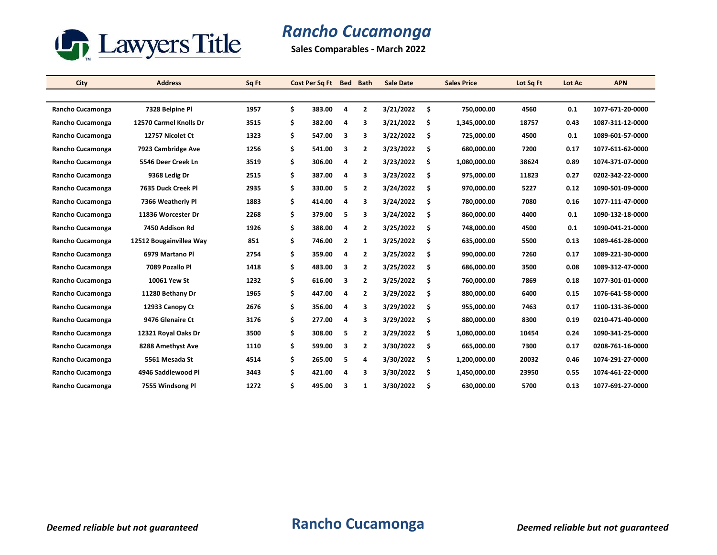

**Sales Comparables - March 2022**

| City             | <b>Address</b>          | Sq Ft | Cost Per Sq Ft Bed Bath |                |                | <b>Sale Date</b> | <b>Sales Price</b> | Lot Sq Ft | Lot Ac | <b>APN</b>       |
|------------------|-------------------------|-------|-------------------------|----------------|----------------|------------------|--------------------|-----------|--------|------------------|
|                  |                         |       |                         |                |                |                  |                    |           |        |                  |
| Rancho Cucamonga | 7328 Belpine Pl         | 1957  | \$<br>383.00            | 4              | $\overline{2}$ | 3/21/2022        | \$<br>750,000.00   | 4560      | 0.1    | 1077-671-20-0000 |
| Rancho Cucamonga | 12570 Carmel Knolls Dr  | 3515  | \$<br>382.00            | 4              | 3              | 3/21/2022        | \$<br>1,345,000.00 | 18757     | 0.43   | 1087-311-12-0000 |
| Rancho Cucamonga | 12757 Nicolet Ct        | 1323  | \$<br>547.00            | 3              | 3              | 3/22/2022        | \$<br>725,000.00   | 4500      | 0.1    | 1089-601-57-0000 |
| Rancho Cucamonga | 7923 Cambridge Ave      | 1256  | \$<br>541.00            | 3              | $\overline{2}$ | 3/23/2022        | \$<br>680,000.00   | 7200      | 0.17   | 1077-611-62-0000 |
| Rancho Cucamonga | 5546 Deer Creek Ln      | 3519  | \$<br>306.00            | 4              | $\overline{2}$ | 3/23/2022        | \$<br>1,080,000.00 | 38624     | 0.89   | 1074-371-07-0000 |
| Rancho Cucamonga | 9368 Ledig Dr           | 2515  | \$<br>387.00            | 4              | 3              | 3/23/2022        | \$<br>975,000.00   | 11823     | 0.27   | 0202-342-22-0000 |
| Rancho Cucamonga | 7635 Duck Creek Pl      | 2935  | \$<br>330.00            | 5              | $\overline{2}$ | 3/24/2022        | \$<br>970,000.00   | 5227      | 0.12   | 1090-501-09-0000 |
| Rancho Cucamonga | 7366 Weatherly Pl       | 1883  | \$<br>414.00            | 4              | 3              | 3/24/2022        | \$<br>780,000.00   | 7080      | 0.16   | 1077-111-47-0000 |
| Rancho Cucamonga | 11836 Worcester Dr      | 2268  | \$<br>379.00            | 5              | 3              | 3/24/2022        | \$<br>860,000.00   | 4400      | 0.1    | 1090-132-18-0000 |
| Rancho Cucamonga | 7450 Addison Rd         | 1926  | \$<br>388.00            | 4              | $\overline{2}$ | 3/25/2022        | \$<br>748,000.00   | 4500      | 0.1    | 1090-041-21-0000 |
| Rancho Cucamonga | 12512 Bougainvillea Way | 851   | \$<br>746.00            | $\overline{2}$ | 1              | 3/25/2022        | \$<br>635.000.00   | 5500      | 0.13   | 1089-461-28-0000 |
| Rancho Cucamonga | 6979 Martano Pl         | 2754  | \$<br>359.00            | 4              | $\overline{2}$ | 3/25/2022        | \$<br>990,000.00   | 7260      | 0.17   | 1089-221-30-0000 |
| Rancho Cucamonga | 7089 Pozallo Pl         | 1418  | \$<br>483.00            | 3              | $\overline{2}$ | 3/25/2022        | \$<br>686,000.00   | 3500      | 0.08   | 1089-312-47-0000 |
| Rancho Cucamonga | 10061 Yew St            | 1232  | \$<br>616.00            | 3              | $\overline{2}$ | 3/25/2022        | \$<br>760.000.00   | 7869      | 0.18   | 1077-301-01-0000 |
| Rancho Cucamonga | 11280 Bethany Dr        | 1965  | \$<br>447.00            | 4              | $\overline{2}$ | 3/29/2022        | \$<br>880,000.00   | 6400      | 0.15   | 1076-641-58-0000 |
| Rancho Cucamonga | 12933 Canopy Ct         | 2676  | \$<br>356.00            | 4              | 3              | 3/29/2022        | \$<br>955,000.00   | 7463      | 0.17   | 1100-131-36-0000 |
| Rancho Cucamonga | 9476 Glenaire Ct        | 3176  | \$<br>277.00            | 4              | 3              | 3/29/2022        | \$<br>880,000.00   | 8300      | 0.19   | 0210-471-40-0000 |
| Rancho Cucamonga | 12321 Royal Oaks Dr     | 3500  | \$<br>308.00            | 5              | $\overline{2}$ | 3/29/2022        | \$<br>1,080,000.00 | 10454     | 0.24   | 1090-341-25-0000 |
| Rancho Cucamonga | 8288 Amethyst Ave       | 1110  | \$<br>599.00            | 3              | $\overline{2}$ | 3/30/2022        | \$<br>665,000.00   | 7300      | 0.17   | 0208-761-16-0000 |
| Rancho Cucamonga | 5561 Mesada St          | 4514  | \$<br>265.00            | 5              | 4              | 3/30/2022        | \$<br>1,200,000.00 | 20032     | 0.46   | 1074-291-27-0000 |
| Rancho Cucamonga | 4946 Saddlewood Pl      | 3443  | \$<br>421.00            | 4              | 3              | 3/30/2022        | \$<br>1,450,000.00 | 23950     | 0.55   | 1074-461-22-0000 |
| Rancho Cucamonga | 7555 Windsong Pl        | 1272  | \$<br>495.00            | 3              | 1              | 3/30/2022        | \$<br>630,000.00   | 5700      | 0.13   | 1077-691-27-0000 |